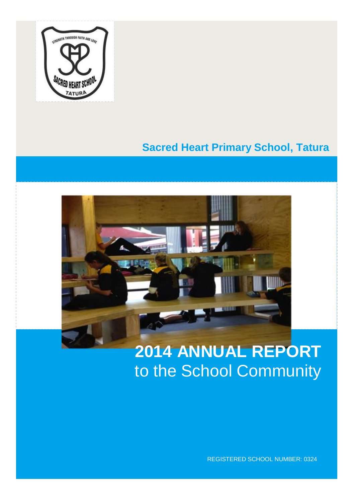

# **Sacred Heart Primary School, Tatura**



# **2014 ANNUAL REPORT** to the School Community

REGISTERED SCHOOL NUMBER: 0324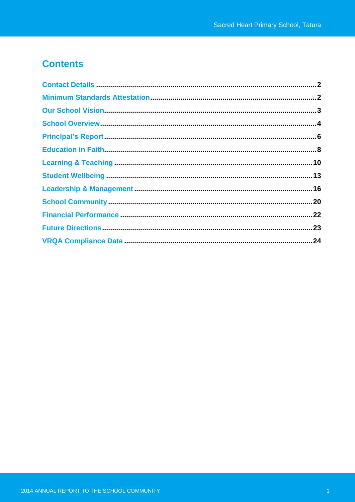# **Contents**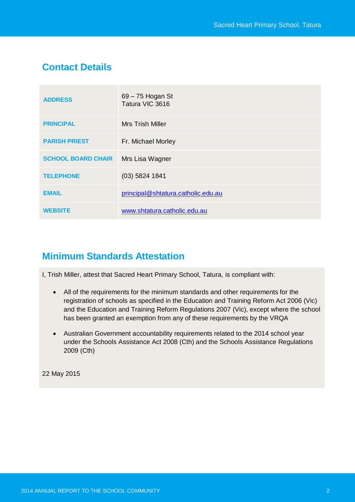# **Contact Details**

| <b>ADDRESS</b>            | 69 – 75 Hogan St<br>Tatura VIC 3616 |
|---------------------------|-------------------------------------|
| <b>PRINCIPAL</b>          | <b>Mrs Trish Miller</b>             |
| <b>PARISH PRIEST</b>      | Fr. Michael Morley                  |
| <b>SCHOOL BOARD CHAIR</b> | Mrs Lisa Wagner                     |
| <b>TELEPHONE</b>          | $(03)$ 5824 1841                    |
| <b>EMAIL</b>              | principal@shtatura.catholic.edu.au  |
| <b>WEBSITE</b>            | www.shtatura.catholic.edu.au        |

# **Minimum Standards Attestation**

I, Trish Miller, attest that Sacred Heart Primary School, Tatura, is compliant with:

- All of the requirements for the minimum standards and other requirements for the registration of schools as specified in the Education and Training Reform Act 2006 (Vic) and the Education and Training Reform Regulations 2007 (Vic), except where the school has been granted an exemption from any of these requirements by the VRQA
- Australian Government accountability requirements related to the 2014 school year under the Schools Assistance Act 2008 (Cth) and the Schools Assistance Regulations 2009 (Cth)

22 May 2015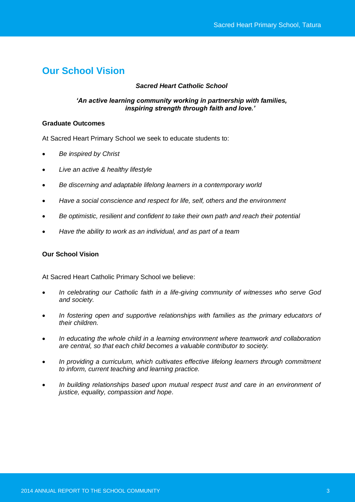# **Our School Vision**

# *Sacred Heart Catholic School*

### *'An active learning community working in partnership with families, inspiring strength through faith and love.'*

#### **Graduate Outcomes**

At Sacred Heart Primary School we seek to educate students to:

- *Be inspired by Christ*
- *Live an active & healthy lifestyle*
- *Be discerning and adaptable lifelong learners in a contemporary world*
- *Have a social conscience and respect for life, self, others and the environment*
- *Be optimistic, resilient and confident to take their own path and reach their potential*
- *Have the ability to work as an individual, and as part of a team*

### **Our School Vision**

At Sacred Heart Catholic Primary School we believe:

- *In celebrating our Catholic faith in a life-giving community of witnesses who serve God and society.*
- *In fostering open and supportive relationships with families as the primary educators of their children.*
- *In educating the whole child in a learning environment where teamwork and collaboration are central, so that each child becomes a valuable contributor to society.*
- *In providing a curriculum, which cultivates effective lifelong learners through commitment to inform, current teaching and learning practice.*
- *In building relationships based upon mutual respect trust and care in an environment of justice, equality, compassion and hope.*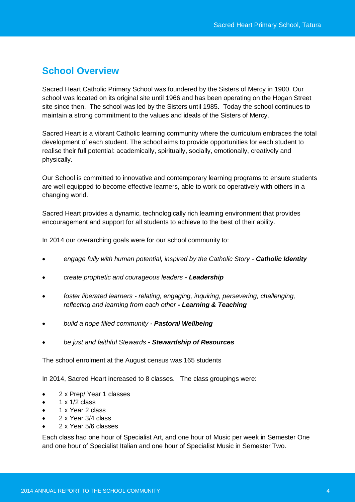# **School Overview**

Sacred Heart Catholic Primary School was foundered by the Sisters of Mercy in 1900. Our school was located on its original site until 1966 and has been operating on the Hogan Street site since then. The school was led by the Sisters until 1985. Today the school continues to maintain a strong commitment to the values and ideals of the Sisters of Mercy.

Sacred Heart is a vibrant Catholic learning community where the curriculum embraces the total development of each student. The school aims to provide opportunities for each student to realise their full potential: academically, spiritually, socially, emotionally, creatively and physically.

Our School is committed to innovative and contemporary learning programs to ensure students are well equipped to become effective learners, able to work co operatively with others in a changing world.

Sacred Heart provides a dynamic, technologically rich learning environment that provides encouragement and support for all students to achieve to the best of their ability.

In 2014 our overarching goals were for our school community to:

- *engage fully with human potential, inspired by the Catholic Story - Catholic Identity*
- *create prophetic and courageous leaders - Leadership*
- *foster liberated learners - relating, engaging, inquiring, persevering, challenging, reflecting and learning from each other - Learning & Teaching*
- *build a hope filled community - Pastoral Wellbeing*
- *be just and faithful Stewards - Stewardship of Resources*

The school enrolment at the August census was 165 students

In 2014, Sacred Heart increased to 8 classes. The class groupings were:

- 2 x Prep/ Year 1 classes
- 1 x 1/2 class
- 1 x Year 2 class
- 2 x Year 3/4 class
- 2 x Year 5/6 classes

Each class had one hour of Specialist Art, and one hour of Music per week in Semester One and one hour of Specialist Italian and one hour of Specialist Music in Semester Two.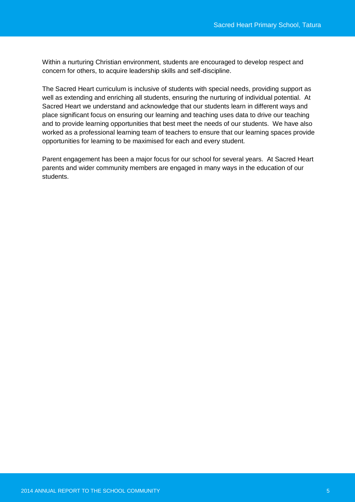Within a nurturing Christian environment, students are encouraged to develop respect and concern for others, to acquire leadership skills and self-discipline.

The Sacred Heart curriculum is inclusive of students with special needs, providing support as well as extending and enriching all students, ensuring the nurturing of individual potential. At Sacred Heart we understand and acknowledge that our students learn in different ways and place significant focus on ensuring our learning and teaching uses data to drive our teaching and to provide learning opportunities that best meet the needs of our students. We have also worked as a professional learning team of teachers to ensure that our learning spaces provide opportunities for learning to be maximised for each and every student.

Parent engagement has been a major focus for our school for several years. At Sacred Heart parents and wider community members are engaged in many ways in the education of our students.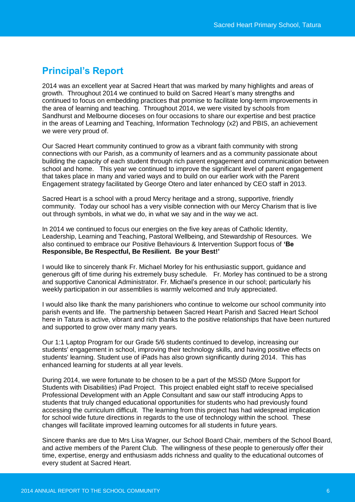# **Principal's Report**

2014 was an excellent year at Sacred Heart that was marked by many highlights and areas of growth. Throughout 2014 we continued to build on Sacred Heart's many strengths and continued to focus on embedding practices that promise to facilitate long-term improvements in the area of learning and teaching. Throughout 2014, we were visited by schools from Sandhurst and Melbourne dioceses on four occasions to share our expertise and best practice in the areas of Learning and Teaching, Information Technology (x2) and PBIS, an achievement we were very proud of.

Our Sacred Heart community continued to grow as a vibrant faith community with strong connections with our Parish, as a community of learners and as a community passionate about building the capacity of each student through rich parent engagement and communication between school and home. This year we continued to improve the significant level of parent engagement that takes place in many and varied ways and to build on our earlier work with the Parent Engagement strategy facilitated by George Otero and later enhanced by CEO staff in 2013.

Sacred Heart is a school with a proud Mercy heritage and a strong, supportive, friendly community. Today our school has a very visible connection with our Mercy Charism that is live out through symbols, in what we do, in what we say and in the way we act.

In 2014 we continued to focus our energies on the five key areas of Catholic Identity, Leadership, Learning and Teaching, Pastoral Wellbeing, and Stewardship of Resources. We also continued to embrace our Positive Behaviours & Intervention Support focus of **'Be Responsible, Be Respectful, Be Resilient. Be your Best!'**

I would like to sincerely thank Fr. Michael Morley for his enthusiastic support, guidance and generous gift of time during his extremely busy schedule. Fr. Morley has continued to be a strong and supportive Canonical Administrator. Fr. Michael's presence in our school; particularly his weekly participation in our assemblies is warmly welcomed and truly appreciated.

I would also like thank the many parishioners who continue to welcome our school community into parish events and life. The partnership between Sacred Heart Parish and Sacred Heart School here in Tatura is active, vibrant and rich thanks to the positive relationships that have been nurtured and supported to grow over many many years.

Our 1:1 Laptop Program for our Grade 5/6 students continued to develop, increasing our students' engagement in school, improving their technology skills, and having positive effects on students' learning. Student use of iPads has also grown significantly during 2014. This has enhanced learning for students at all year levels.

During 2014, we were fortunate to be chosen to be a part of the MSSD (More Support for Students with Disabilities) iPad Project. This project enabled eight staff to receive specialised Professional Development with an Apple Consultant and saw our staff introducing Apps to students that truly changed educational opportunities for students who had previously found accessing the curriculum difficult. The learning from this project has had widespread implication for school wide future directions in regards to the use of technology within the school. These changes will facilitate improved learning outcomes for all students in future years.

Sincere thanks are due to Mrs Lisa Wagner, our School Board Chair, members of the School Board, and active members of the Parent Club. The willingness of these people to generously offer their time, expertise, energy and enthusiasm adds richness and quality to the educational outcomes of every student at Sacred Heart.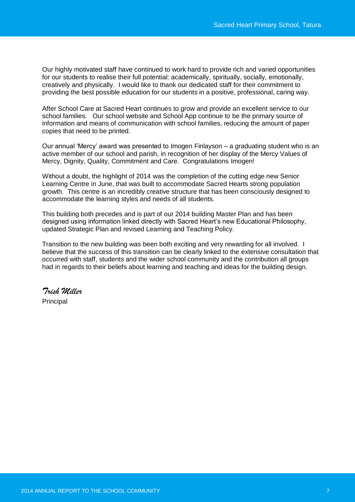Our highly motivated staff have continued to work hard to provide rich and varied opportunities for our students to realise their full potential: academically, spiritually, socially, emotionally, creatively and physically. I would like to thank our dedicated staff for their commitment to providing the best possible education for our students in a positive, professional, caring way.

After School Care at Sacred Heart continues to grow and provide an excellent service to our school families. Our school website and School App continue to be the primary source of information and means of communication with school families, reducing the amount of paper copies that need to be printed.

Our annual 'Mercy' award was presented to Imogen Finlayson – a graduating student who is an active member of our school and parish, in recognition of her display of the Mercy Values of Mercy, Dignity, Quality, Commitment and Care. Congratulations Imogen!

Without a doubt, the highlight of 2014 was the completion of the cutting edge new Senior Learning Centre in June, that was built to accommodate Sacred Hearts strong population growth. This centre is an incredibly creative structure that has been consciously designed to accommodate the learning styles and needs of all students.

This building both precedes and is part of our 2014 building Master Plan and has been designed using information linked directly with Sacred Heart's new Educational Philosophy, updated Strategic Plan and revised Learning and Teaching Policy.

Transition to the new building was been both exciting and very rewarding for all involved. I believe that the success of this transition can be clearly linked to the extensive consultation that occurred with staff, students and the wider school community and the contribution all groups had in regards to their beliefs about learning and teaching and ideas for the building design.

*Trish Miller* Principal

2014 ANNUAL REPORT TO THE SCHOOL COMMUNITY **2014 AND 2014 ANNUAL REPORT TO THE SCHOOL**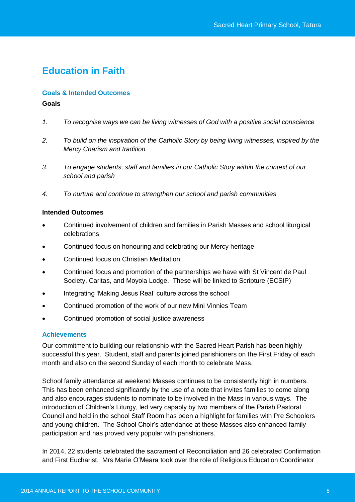# **Education in Faith**

#### **Goals & Intended Outcomes**

#### **Goals**

- *1. To recognise ways we can be living witnesses of God with a positive social conscience*
- *2. To build on the inspiration of the Catholic Story by being living witnesses, inspired by the Mercy Charism and tradition*
- *3. To engage students, staff and families in our Catholic Story within the context of our school and parish*
- *4. To nurture and continue to strengthen our school and parish communities*

#### **Intended Outcomes**

- Continued involvement of children and families in Parish Masses and school liturgical celebrations
- Continued focus on honouring and celebrating our Mercy heritage
- Continued focus on Christian Meditation
- Continued focus and promotion of the partnerships we have with St Vincent de Paul Society, Caritas, and Moyola Lodge. These will be linked to Scripture (ECSIP)
- Integrating 'Making Jesus Real' culture across the school
- Continued promotion of the work of our new Mini Vinnies Team
- Continued promotion of social justice awareness

#### **Achievements**

Our commitment to building our relationship with the Sacred Heart Parish has been highly successful this year. Student, staff and parents joined parishioners on the First Friday of each month and also on the second Sunday of each month to celebrate Mass.

School family attendance at weekend Masses continues to be consistently high in numbers. This has been enhanced significantly by the use of a note that invites families to come along and also encourages students to nominate to be involved in the Mass in various ways. The introduction of Children's Liturgy, led very capably by two members of the Parish Pastoral Council and held in the school Staff Room has been a highlight for families with Pre Schoolers and young children. The School Choir's attendance at these Masses also enhanced family participation and has proved very popular with parishioners.

In 2014, 22 students celebrated the sacrament of Reconciliation and 26 celebrated Confirmation and First Eucharist. Mrs Marie O'Meara took over the role of Religious Education Coordinator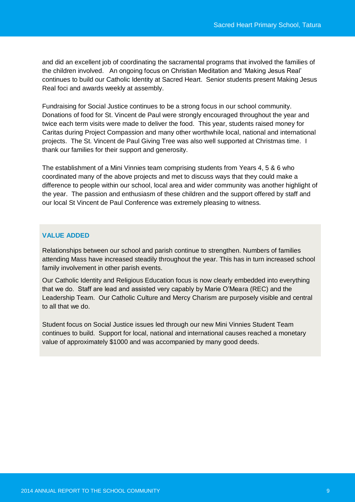and did an excellent job of coordinating the sacramental programs that involved the families of the children involved. An ongoing focus on Christian Meditation and 'Making Jesus Real' continues to build our Catholic Identity at Sacred Heart. Senior students present Making Jesus Real foci and awards weekly at assembly.

Fundraising for Social Justice continues to be a strong focus in our school community. Donations of food for St. Vincent de Paul were strongly encouraged throughout the year and twice each term visits were made to deliver the food. This year, students raised money for Caritas during Project Compassion and many other worthwhile local, national and international projects. The St. Vincent de Paul Giving Tree was also well supported at Christmas time. I thank our families for their support and generosity.

The establishment of a Mini Vinnies team comprising students from Years 4, 5 & 6 who coordinated many of the above projects and met to discuss ways that they could make a difference to people within our school, local area and wider community was another highlight of the year. The passion and enthusiasm of these children and the support offered by staff and our local St Vincent de Paul Conference was extremely pleasing to witness.

### **VALUE ADDED**

Relationships between our school and parish continue to strengthen. Numbers of families attending Mass have increased steadily throughout the year. This has in turn increased school family involvement in other parish events.

Our Catholic Identity and Religious Education focus is now clearly embedded into everything that we do. Staff are lead and assisted very capably by Marie O'Meara (REC) and the Leadership Team. Our Catholic Culture and Mercy Charism are purposely visible and central to all that we do.

Student focus on Social Justice issues led through our new Mini Vinnies Student Team continues to build. Support for local, national and international causes reached a monetary value of approximately \$1000 and was accompanied by many good deeds.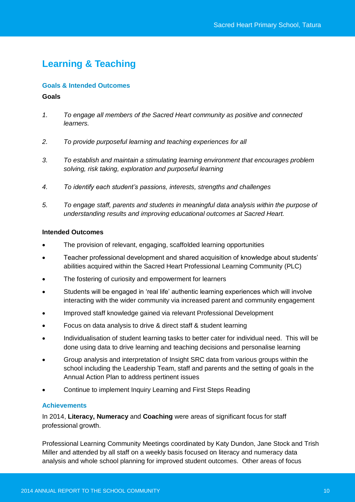# **Learning & Teaching**

### **Goals & Intended Outcomes**

#### **Goals**

- *1. To engage all members of the Sacred Heart community as positive and connected learners.*
- *2. To provide purposeful learning and teaching experiences for all*
- *3. To establish and maintain a stimulating learning environment that encourages problem solving, risk taking, exploration and purposeful learning*
- *4. To identify each student's passions, interests, strengths and challenges*
- *5. To engage staff, parents and students in meaningful data analysis within the purpose of understanding results and improving educational outcomes at Sacred Heart.*

### **Intended Outcomes**

- The provision of relevant, engaging, scaffolded learning opportunities
- Teacher professional development and shared acquisition of knowledge about students' abilities acquired within the Sacred Heart Professional Learning Community (PLC)
- The fostering of curiosity and empowerment for learners
- Students will be engaged in 'real life' authentic learning experiences which will involve interacting with the wider community via increased parent and community engagement
- Improved staff knowledge gained via relevant Professional Development
- Focus on data analysis to drive & direct staff & student learning
- Individualisation of student learning tasks to better cater for individual need. This will be done using data to drive learning and teaching decisions and personalise learning
- Group analysis and interpretation of Insight SRC data from various groups within the school including the Leadership Team, staff and parents and the setting of goals in the Annual Action Plan to address pertinent issues
- Continue to implement Inquiry Learning and First Steps Reading

### **Achievements**

In 2014, **Literacy, Numeracy** and **Coaching** were areas of significant focus for staff professional growth.

Professional Learning Community Meetings coordinated by Katy Dundon, Jane Stock and Trish Miller and attended by all staff on a weekly basis focused on literacy and numeracy data analysis and whole school planning for improved student outcomes. Other areas of focus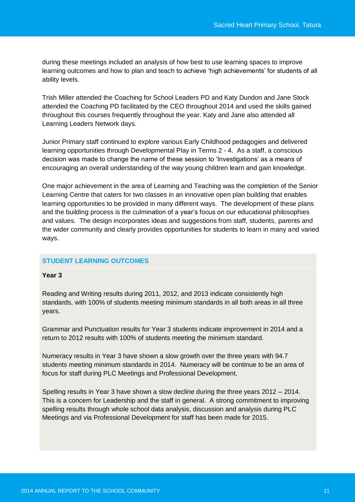during these meetings included an analysis of how best to use learning spaces to improve learning outcomes and how to plan and teach to achieve 'high achievements' for students of all ability levels.

Trish Miller attended the Coaching for School Leaders PD and Katy Dundon and Jane Stock attended the Coaching PD facilitated by the CEO throughout 2014 and used the skills gained throughout this courses frequently throughout the year. Katy and Jane also attended all Learning Leaders Network days.

Junior Primary staff continued to explore various Early Childhood pedagogies and delivered learning opportunities through Developmental Play in Terms 2 - 4. As a staff, a conscious decision was made to change the name of these session to 'Investigations' as a means of encouraging an overall understanding of the way young children learn and gain knowledge.

One major achievement in the area of Learning and Teaching was the completion of the Senior Learning Centre that caters for two classes in an innovative open plan building that enables learning opportunities to be provided in many different ways. The development of these plans and the building process is the culmination of a year's focus on our educational philosophies and values. The design incorporates ideas and suggestions from staff, students, parents and the wider community and clearly provides opportunities for students to learn in many and varied ways.

### **STUDENT LEARNING OUTCOMES**

#### **Year 3**

Reading and Writing results during 2011, 2012, and 2013 indicate consistently high standards, with 100% of students meeting minimum standards in all both areas in all three years.

Grammar and Punctuation results for Year 3 students indicate improvement in 2014 and a return to 2012 results with 100% of students meeting the minimum standard.

Numeracy results in Year 3 have shown a slow growth over the three years with 94.7 students meeting minimum standards in 2014. Numeracy will be continue to be an area of focus for staff during PLC Meetings and Professional Development.

Spelling results in Year 3 have shown a slow decline during the three years 2012 – 2014. This is a concern for Leadership and the staff in general. A strong commitment to improving spelling results through whole school data analysis, discussion and analysis during PLC Meetings and via Professional Development for staff has been made for 2015.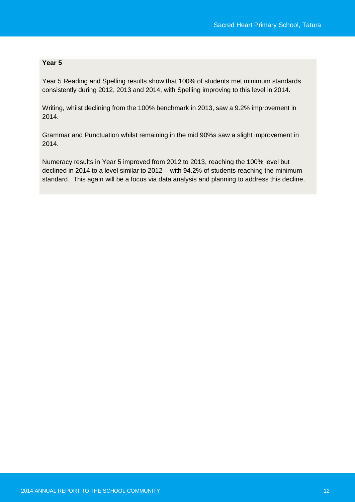# **Year 5**

Year 5 Reading and Spelling results show that 100% of students met minimum standards consistently during 2012, 2013 and 2014, with Spelling improving to this level in 2014.

Writing, whilst declining from the 100% benchmark in 2013, saw a 9.2% improvement in 2014.

Grammar and Punctuation whilst remaining in the mid 90%s saw a slight improvement in 2014.

Numeracy results in Year 5 improved from 2012 to 2013, reaching the 100% level but declined in 2014 to a level similar to 2012 – with 94.2% of students reaching the minimum standard. This again will be a focus via data analysis and planning to address this decline.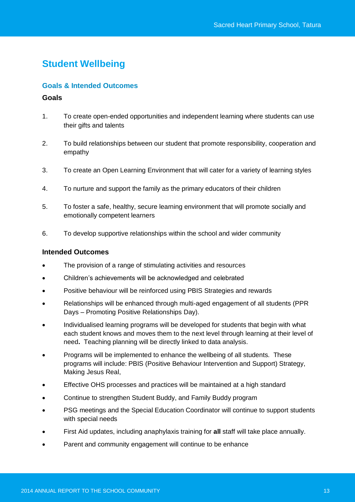# **Student Wellbeing**

### **Goals & Intended Outcomes**

### **Goals**

- 1. To create open-ended opportunities and independent learning where students can use their gifts and talents
- 2. To build relationships between our student that promote responsibility, cooperation and empathy
- 3. To create an Open Learning Environment that will cater for a variety of learning styles
- 4. To nurture and support the family as the primary educators of their children
- 5. To foster a safe, healthy, secure learning environment that will promote socially and emotionally competent learners
- 6. To develop supportive relationships within the school and wider community

### **Intended Outcomes**

- The provision of a range of stimulating activities and resources
- Children's achievements will be acknowledged and celebrated
- Positive behaviour will be reinforced using PBIS Strategies and rewards
- Relationships will be enhanced through multi-aged engagement of all students (PPR Days – Promoting Positive Relationships Day).
- Individualised learning programs will be developed for students that begin with what each student knows and moves them to the next level through learning at their level of need**.** Teaching planning will be directly linked to data analysis.
- Programs will be implemented to enhance the wellbeing of all students. These programs will include: PBIS (Positive Behaviour Intervention and Support) Strategy, Making Jesus Real,
- Effective OHS processes and practices will be maintained at a high standard
- Continue to strengthen Student Buddy, and Family Buddy program
- PSG meetings and the Special Education Coordinator will continue to support students with special needs
- First Aid updates, including anaphylaxis training for **all** staff will take place annually.
- Parent and community engagement will continue to be enhance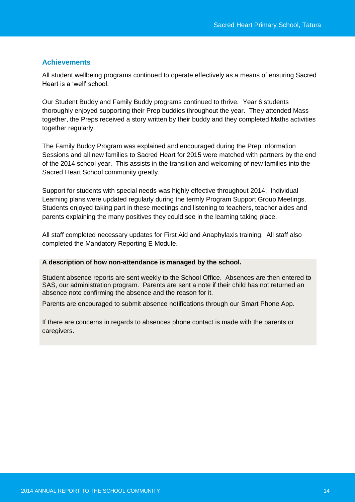### **Achievements**

All student wellbeing programs continued to operate effectively as a means of ensuring Sacred Heart is a 'well' school.

Our Student Buddy and Family Buddy programs continued to thrive. Year 6 students thoroughly enjoyed supporting their Prep buddies throughout the year. They attended Mass together, the Preps received a story written by their buddy and they completed Maths activities together regularly.

The Family Buddy Program was explained and encouraged during the Prep Information Sessions and all new families to Sacred Heart for 2015 were matched with partners by the end of the 2014 school year. This assists in the transition and welcoming of new families into the Sacred Heart School community greatly.

Support for students with special needs was highly effective throughout 2014. Individual Learning plans were updated regularly during the termly Program Support Group Meetings. Students enjoyed taking part in these meetings and listening to teachers, teacher aides and parents explaining the many positives they could see in the learning taking place.

All staff completed necessary updates for First Aid and Anaphylaxis training. All staff also completed the Mandatory Reporting E Module.

#### **A description of how non-attendance is managed by the school.**

Student absence reports are sent weekly to the School Office. Absences are then entered to SAS, our administration program. Parents are sent a note if their child has not returned an absence note confirming the absence and the reason for it.

Parents are encouraged to submit absence notifications through our Smart Phone App.

If there are concerns in regards to absences phone contact is made with the parents or caregivers.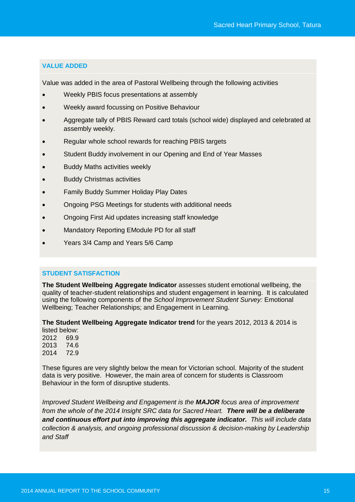### **VALUE ADDED**

Value was added in the area of Pastoral Wellbeing through the following activities

- Weekly PBIS focus presentations at assembly
- Weekly award focussing on Positive Behaviour
- Aggregate tally of PBIS Reward card totals (school wide) displayed and celebrated at assembly weekly.
- Regular whole school rewards for reaching PBIS targets
- Student Buddy involvement in our Opening and End of Year Masses
- Buddy Maths activities weekly
- Buddy Christmas activities
- Family Buddy Summer Holiday Play Dates
- Ongoing PSG Meetings for students with additional needs
- Ongoing First Aid updates increasing staff knowledge
- Mandatory Reporting EModule PD for all staff
- Years 3/4 Camp and Years 5/6 Camp

### **STUDENT SATISFACTION**

**The Student Wellbeing Aggregate Indicator** assesses student emotional wellbeing, the quality of teacher-student relationships and student engagement in learning. It is calculated using the following components of the *School Improvement Student Survey:* Emotional Wellbeing; Teacher Relationships; and Engagement in Learning.

**The Student Wellbeing Aggregate Indicator trend** for the years 2012, 2013 & 2014 is listed below:

2012 69.9 2013 74.6 2014 72.9

These figures are very slightly below the mean for Victorian school. Majority of the student data is very positive. However, the main area of concern for students is Classroom Behaviour in the form of disruptive students.

*Improved Student Wellbeing and Engagement is the MAJOR focus area of improvement from the whole of the 2014 Insight SRC data for Sacred Heart. There will be a deliberate and continuous effort put into improving this aggregate indicator. This will include data collection & analysis, and ongoing professional discussion & decision-making by Leadership and Staff*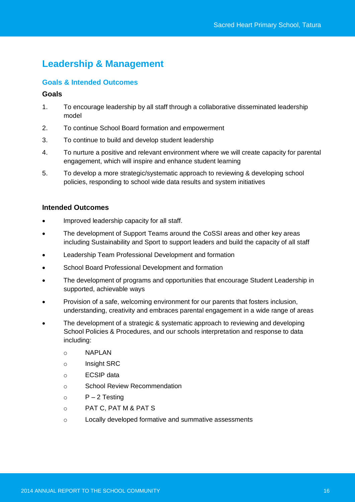# **Leadership & Management**

# **Goals & Intended Outcomes**

### **Goals**

- 1. To encourage leadership by all staff through a collaborative disseminated leadership model
- 2. To continue School Board formation and empowerment
- 3. To continue to build and develop student leadership
- 4. To nurture a positive and relevant environment where we will create capacity for parental engagement, which will inspire and enhance student learning
- 5. To develop a more strategic/systematic approach to reviewing & developing school policies, responding to school wide data results and system initiatives

### **Intended Outcomes**

- Improved leadership capacity for all staff.
- The development of Support Teams around the CoSSI areas and other key areas including Sustainability and Sport to support leaders and build the capacity of all staff
- Leadership Team Professional Development and formation
- School Board Professional Development and formation
- The development of programs and opportunities that encourage Student Leadership in supported, achievable ways
- Provision of a safe, welcoming environment for our parents that fosters inclusion, understanding, creativity and embraces parental engagement in a wide range of areas
- The development of a strategic & systematic approach to reviewing and developing School Policies & Procedures, and our schools interpretation and response to data including:
	- o NAPLAN
	- o Insight SRC
	- o ECSIP data
	- o School Review Recommendation
	- $P 2$  Testing
	- o PAT C, PAT M & PAT S
	- o Locally developed formative and summative assessments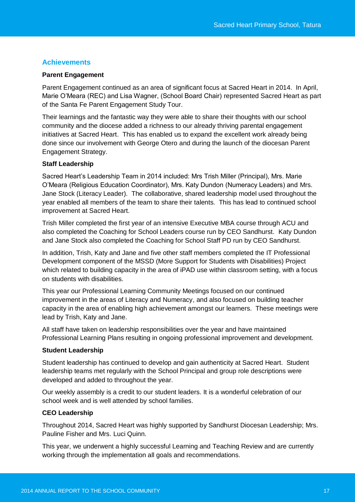# **Achievements**

#### **Parent Engagement**

Parent Engagement continued as an area of significant focus at Sacred Heart in 2014. In April, Marie O'Meara (REC) and Lisa Wagner, (School Board Chair) represented Sacred Heart as part of the Santa Fe Parent Engagement Study Tour.

Their learnings and the fantastic way they were able to share their thoughts with our school community and the diocese added a richness to our already thriving parental engagement initiatives at Sacred Heart. This has enabled us to expand the excellent work already being done since our involvement with George Otero and during the launch of the diocesan Parent Engagement Strategy.

#### **Staff Leadership**

Sacred Heart's Leadership Team in 2014 included: Mrs Trish Miller (Principal), Mrs. Marie O'Meara (Religious Education Coordinator), Mrs. Katy Dundon (Numeracy Leaders) and Mrs. Jane Stock (Literacy Leader). The collaborative, shared leadership model used throughout the year enabled all members of the team to share their talents. This has lead to continued school improvement at Sacred Heart.

Trish Miller completed the first year of an intensive Executive MBA course through ACU and also completed the Coaching for School Leaders course run by CEO Sandhurst. Katy Dundon and Jane Stock also completed the Coaching for School Staff PD run by CEO Sandhurst.

In addition, Trish, Katy and Jane and five other staff members completed the IT Professional Development component of the MSSD (More Support for Students with Disabilities) Project which related to building capacity in the area of iPAD use within classroom setting, with a focus on students with disabilities.

This year our Professional Learning Community Meetings focused on our continued improvement in the areas of Literacy and Numeracy, and also focused on building teacher capacity in the area of enabling high achievement amongst our learners. These meetings were lead by Trish, Katy and Jane.

All staff have taken on leadership responsibilities over the year and have maintained Professional Learning Plans resulting in ongoing professional improvement and development.

#### **Student Leadership**

Student leadership has continued to develop and gain authenticity at Sacred Heart. Student leadership teams met regularly with the School Principal and group role descriptions were developed and added to throughout the year.

Our weekly assembly is a credit to our student leaders. It is a wonderful celebration of our school week and is well attended by school families.

#### **CEO Leadership**

Throughout 2014, Sacred Heart was highly supported by Sandhurst Diocesan Leadership; Mrs. Pauline Fisher and Mrs. Luci Quinn.

This year, we underwent a highly successful Learning and Teaching Review and are currently working through the implementation all goals and recommendations.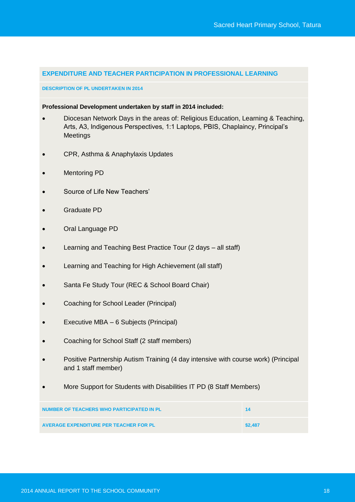#### **EXPENDITURE AND TEACHER PARTICIPATION IN PROFESSIONAL LEARNING**

#### **DESCRIPTION OF PL UNDERTAKEN IN 2014**

#### **Professional Development undertaken by staff in 2014 included:**

- Diocesan Network Days in the areas of: Religious Education, Learning & Teaching, Arts, A3, Indigenous Perspectives, 1:1 Laptops, PBIS, Chaplaincy, Principal's **Meetings**
- CPR, Asthma & Anaphylaxis Updates
- Mentoring PD
- Source of Life New Teachers'
- Graduate PD
- Oral Language PD
- Learning and Teaching Best Practice Tour (2 days all staff)
- Learning and Teaching for High Achievement (all staff)
- Santa Fe Study Tour (REC & School Board Chair)
- Coaching for School Leader (Principal)
- Executive MBA 6 Subjects (Principal)
- Coaching for School Staff (2 staff members)
- Positive Partnership Autism Training (4 day intensive with course work) (Principal and 1 staff member)
- More Support for Students with Disabilities IT PD (8 Staff Members)

| NUMBER OF TEACHERS WHO PARTICIPATED IN PL     | -14     |
|-----------------------------------------------|---------|
| <b>AVERAGE EXPENDITURE PER TEACHER FOR PL</b> | \$2.487 |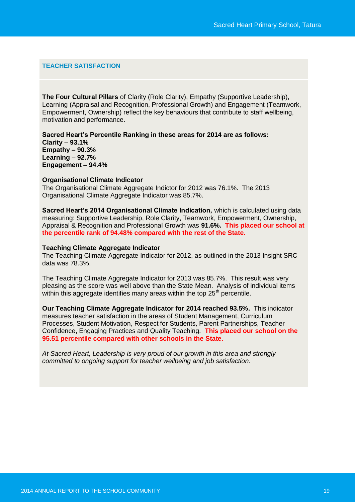#### **TEACHER SATISFACTION**

**The Four Cultural Pillars** of Clarity (Role Clarity), Empathy (Supportive Leadership), Learning (Appraisal and Recognition, Professional Growth) and Engagement (Teamwork, Empowerment, Ownership) reflect the key behaviours that contribute to staff wellbeing, motivation and performance.

**Sacred Heart's Percentile Ranking in these areas for 2014 are as follows: Clarity – 93.1% Empathy – 90.3% Learning – 92.7% Engagement – 94.4%**

#### **Organisational Climate Indicator**

The Organisational Climate Aggregate Indictor for 2012 was 76.1%. The 2013 Organisational Climate Aggregate Indicator was 85.7%.

**Sacred Heart's 2014 Organisational Climate Indication,** which is calculated using data measuring: Supportive Leadership, Role Clarity, Teamwork, Empowerment, Ownership, Appraisal & Recognition and Professional Growth was **91.6%. This placed our school at the percentile rank of 94.48% compared with the rest of the State.**

#### **Teaching Climate Aggregate Indicator**

The Teaching Climate Aggregate Indicator for 2012, as outlined in the 2013 Insight SRC data was 78.3%.

The Teaching Climate Aggregate Indicator for 2013 was 85.7%. This result was very pleasing as the score was well above than the State Mean. Analysis of individual items within this aggregate identifies many areas within the top  $25<sup>th</sup>$  percentile.

**Our Teaching Climate Aggregate Indicator for 2014 reached 93.5%.** This indicator measures teacher satisfaction in the areas of Student Management, Curriculum Processes, Student Motivation, Respect for Students, Parent Partnerships, Teacher Confidence, Engaging Practices and Quality Teaching. **This placed our school on the 95.51 percentile compared with other schools in the State.**

*At Sacred Heart, Leadership is very proud of our growth in this area and strongly committed to ongoing support for teacher wellbeing and job satisfaction.*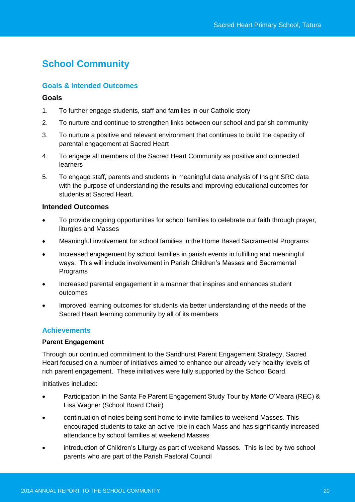# **School Community**

# **Goals & Intended Outcomes**

### **Goals**

- 1. To further engage students, staff and families in our Catholic story
- 2. To nurture and continue to strengthen links between our school and parish community
- 3. To nurture a positive and relevant environment that continues to build the capacity of parental engagement at Sacred Heart
- 4. To engage all members of the Sacred Heart Community as positive and connected learners
- 5. To engage staff, parents and students in meaningful data analysis of Insight SRC data with the purpose of understanding the results and improving educational outcomes for students at Sacred Heart.

### **Intended Outcomes**

- To provide ongoing opportunities for school families to celebrate our faith through prayer, liturgies and Masses
- Meaningful involvement for school families in the Home Based Sacramental Programs
- Increased engagement by school families in parish events in fulfilling and meaningful ways. This will include involvement in Parish Children's Masses and Sacramental **Programs**
- Increased parental engagement in a manner that inspires and enhances student outcomes
- Improved learning outcomes for students via better understanding of the needs of the Sacred Heart learning community by all of its members

# **Achievements**

#### **Parent Engagement**

Through our continued commitment to the Sandhurst Parent Engagement Strategy, Sacred Heart focused on a number of initiatives aimed to enhance our already very healthy levels of rich parent engagement. These initiatives were fully supported by the School Board.

Initiatives included:

- Participation in the Santa Fe Parent Engagement Study Tour by Marie O'Meara (REC) & Lisa Wagner (School Board Chair)
- continuation of notes being sent home to invite families to weekend Masses. This encouraged students to take an active role in each Mass and has significantly increased attendance by school families at weekend Masses
- introduction of Children's Liturgy as part of weekend Masses. This is led by two school parents who are part of the Parish Pastoral Council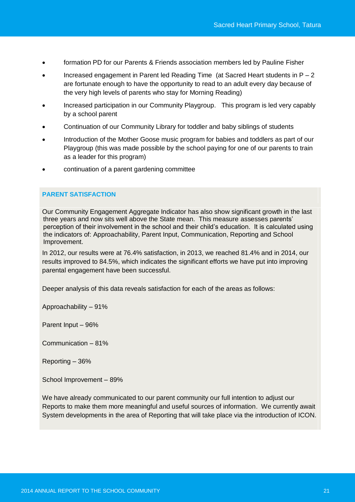- formation PD for our Parents & Friends association members led by Pauline Fisher
- Increased engagement in Parent led Reading Time (at Sacred Heart students in  $P 2$ are fortunate enough to have the opportunity to read to an adult every day because of the very high levels of parents who stay for Morning Reading)
- Increased participation in our Community Playgroup. This program is led very capably by a school parent
- Continuation of our Community Library for toddler and baby siblings of students
- Introduction of the Mother Goose music program for babies and toddlers as part of our Playgroup (this was made possible by the school paying for one of our parents to train as a leader for this program)
- continuation of a parent gardening committee

### **PARENT SATISFACTION**

Our Community Engagement Aggregate Indicator has also show significant growth in the last three years and now sits well above the State mean. This measure assesses parents' perception of their involvement in the school and their child's education. It is calculated using the indicators of: Approachability, Parent Input, Communication, Reporting and School Improvement.

In 2012, our results were at 76.4% satisfaction, in 2013, we reached 81.4% and in 2014, our results improved to 84.5%, which indicates the significant efforts we have put into improving parental engagement have been successful.

Deeper analysis of this data reveals satisfaction for each of the areas as follows:

Approachability – 91%

Parent Input – 96%

Communication – 81%

Reporting – 36%

School Improvement – 89%

We have already communicated to our parent community our full intention to adjust our Reports to make them more meaningful and useful sources of information. We currently await System developments in the area of Reporting that will take place via the introduction of ICON.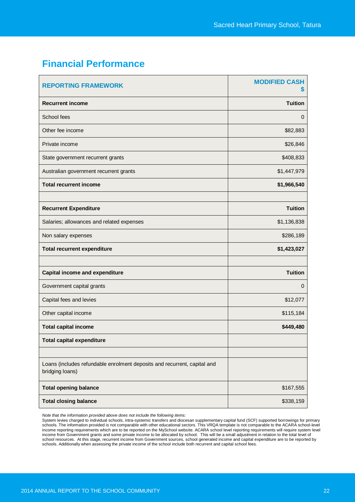# **Financial Performance**

| <b>REPORTING FRAMEWORK</b>                                                                  | <b>MODIFIED CASH</b><br>5 |
|---------------------------------------------------------------------------------------------|---------------------------|
| <b>Recurrent income</b>                                                                     | <b>Tuition</b>            |
| School fees                                                                                 | $\mathbf{0}$              |
| Other fee income                                                                            | \$82,883                  |
| Private income                                                                              | \$26,846                  |
| State government recurrent grants                                                           | \$408,833                 |
| Australian government recurrent grants                                                      | \$1,447,979               |
| <b>Total recurrent income</b>                                                               | \$1,966,540               |
|                                                                                             |                           |
| <b>Recurrent Expenditure</b>                                                                | <b>Tuition</b>            |
| Salaries; allowances and related expenses                                                   | \$1,136,838               |
| Non salary expenses                                                                         | \$286,189                 |
| <b>Total recurrent expenditure</b>                                                          | \$1,423,027               |
|                                                                                             |                           |
| <b>Capital income and expenditure</b>                                                       | <b>Tuition</b>            |
| Government capital grants                                                                   | 0                         |
| Capital fees and levies                                                                     | \$12,077                  |
| Other capital income                                                                        | \$115,184                 |
| <b>Total capital income</b>                                                                 |                           |
|                                                                                             | \$449,480                 |
| <b>Total capital expenditure</b>                                                            |                           |
|                                                                                             |                           |
| Loans (includes refundable enrolment deposits and recurrent, capital and<br>bridging loans) |                           |
| <b>Total opening balance</b>                                                                | \$167,555                 |

*Note that the information provided above does not include the following items:* 

System levies charged to individual schools, intra-systemic transfers and diocesan supplementary capital fund (SCF) supported borrowings for primary<br>schools. The information provided is not comparable with other educationa income reporting requirements which are to be reported on the MySchool website. ACARA school level reporting requirements will require system level income from Government grants and some private income to be allocated by school. This will be a small adjustment in relation to the total level of school resources. At this stage, recurrent income from Government sources, school generated income and capital expenditure are to be reported by schools. Additionally when assessing the private income of the school include both recurrent and capital school fees.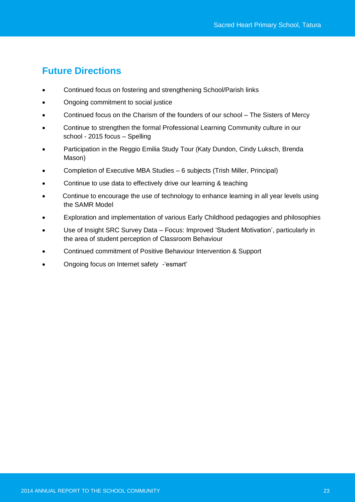# **Future Directions**

- Continued focus on fostering and strengthening School/Parish links
- Ongoing commitment to social justice
- Continued focus on the Charism of the founders of our school The Sisters of Mercy
- Continue to strengthen the formal Professional Learning Community culture in our school - 2015 focus – Spelling
- Participation in the Reggio Emilia Study Tour (Katy Dundon, Cindy Luksch, Brenda Mason)
- Completion of Executive MBA Studies 6 subjects (Trish Miller, Principal)
- Continue to use data to effectively drive our learning & teaching
- Continue to encourage the use of technology to enhance learning in all year levels using the SAMR Model
- Exploration and implementation of various Early Childhood pedagogies and philosophies
- Use of Insight SRC Survey Data Focus: Improved 'Student Motivation', particularly in the area of student perception of Classroom Behaviour
- Continued commitment of Positive Behaviour Intervention & Support
- Ongoing focus on Internet safety -'esmart'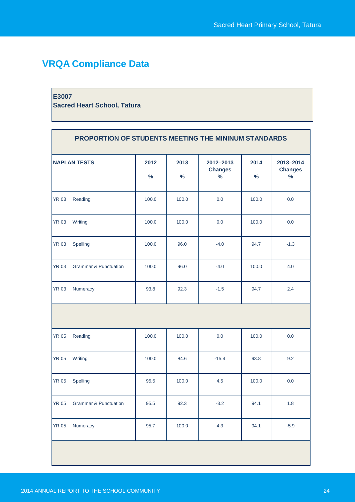# **VRQA Compliance Data**

#### **E3007**

**Sacred Heart School, Tatura**

| PROPORTION OF STUDENTS MEETING THE MININUM STANDARDS |                                  |                       |              |                                     |              |                                              |
|------------------------------------------------------|----------------------------------|-----------------------|--------------|-------------------------------------|--------------|----------------------------------------------|
|                                                      | <b>NAPLAN TESTS</b>              | 2012<br>$\frac{0}{0}$ | 2013<br>$\%$ | 2012-2013<br><b>Changes</b><br>$\%$ | 2014<br>$\%$ | 2013-2014<br><b>Changes</b><br>$\frac{9}{6}$ |
| <b>YR 03</b>                                         | Reading                          | 100.0                 | 100.0        | 0.0                                 | 100.0        | 0.0                                          |
| <b>YR 03</b>                                         | <b>Writing</b>                   | 100.0                 | 100.0        | 0.0                                 | 100.0        | 0.0                                          |
| <b>YR 03</b>                                         | Spelling                         | 100.0                 | 96.0         | $-4.0$                              | 94.7         | $-1.3$                                       |
| <b>YR 03</b>                                         | <b>Grammar &amp; Punctuation</b> | 100.0                 | 96.0         | $-4.0$                              | 100.0        | 4.0                                          |
| <b>YR 03</b>                                         | Numeracy                         | 93.8                  | 92.3         | $-1.5$                              | 94.7         | 2.4                                          |
|                                                      |                                  |                       |              |                                     |              |                                              |
| <b>YR 05</b>                                         | Reading                          | 100.0                 | 100.0        | 0.0                                 | 100.0        | 0.0                                          |
| <b>YR 05</b>                                         | Writing                          | 100.0                 | 84.6         | $-15.4$                             | 93.8         | 9.2                                          |
| <b>YR 05</b>                                         | Spelling                         | 95.5                  | 100.0        | 4.5                                 | 100.0        | 0.0                                          |
| <b>YR 05</b>                                         | <b>Grammar &amp; Punctuation</b> | 95.5                  | 92.3         | $-3.2$                              | 94.1         | 1.8                                          |
| <b>YR 05</b>                                         | Numeracy                         | 95.7                  | 100.0        | 4.3                                 | 94.1         | $-5.9$                                       |
|                                                      |                                  |                       |              |                                     |              |                                              |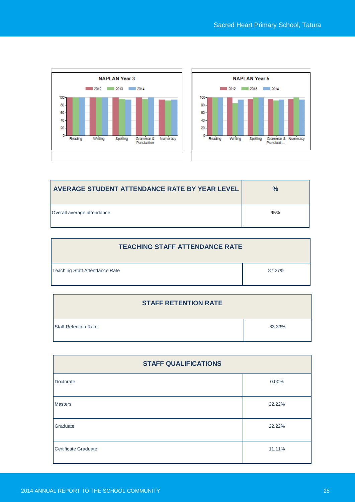



| AVERAGE STUDENT ATTENDANCE RATE BY YEAR LEVEL | $\frac{9}{6}$ |
|-----------------------------------------------|---------------|
| Overall average attendance                    | 95%           |

| <b>TEACHING STAFF ATTENDANCE RATE</b> |        |  |
|---------------------------------------|--------|--|
| Teaching Staff Attendance Rate        | 87.27% |  |

| <b>STAFF RETENTION RATE</b> |        |
|-----------------------------|--------|
| <b>Staff Retention Rate</b> | 83.33% |

| <b>STAFF QUALIFICATIONS</b> |        |  |
|-----------------------------|--------|--|
| Doctorate                   | 0.00%  |  |
| <b>Masters</b>              | 22.22% |  |
| Graduate                    | 22.22% |  |
| <b>Certificate Graduate</b> | 11.11% |  |